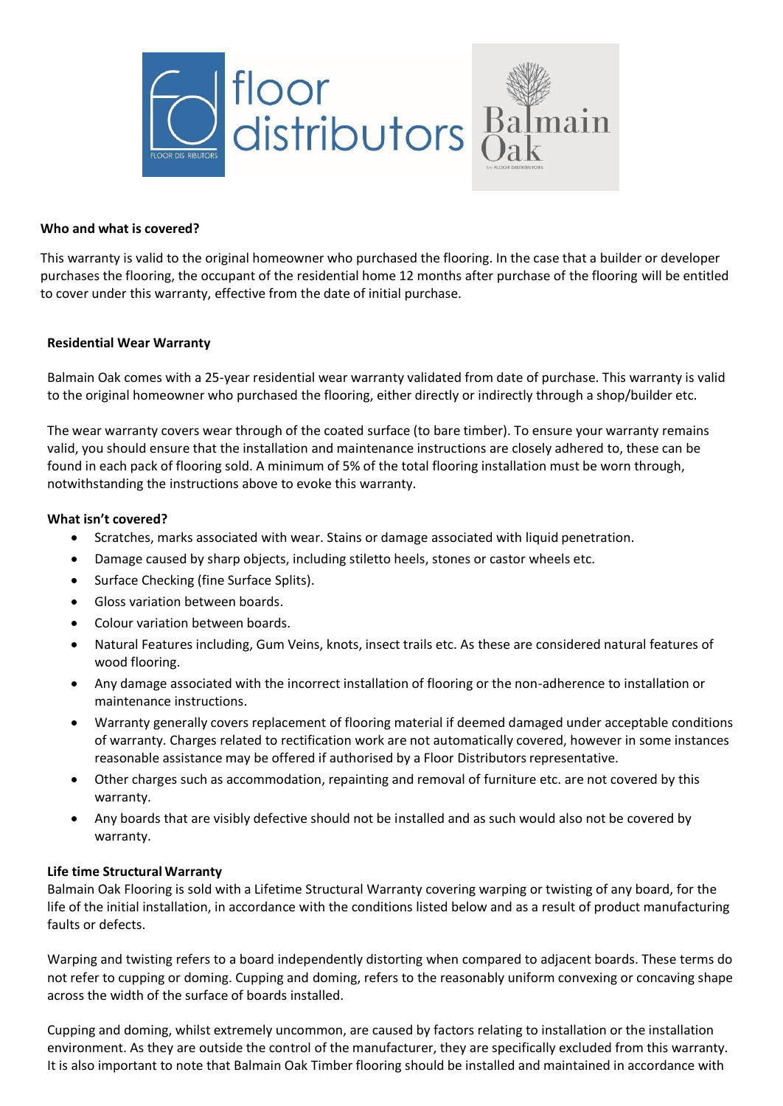

## **Who and what is covered?**

This warranty is valid to the original homeowner who purchased the flooring. In the case that a builder or developer purchases the flooring, the occupant of the residential home 12 months after purchase of the flooring will be entitled to cover under this warranty, effective from the date of initial purchase.

## **Residential Wear Warranty**

Balmain Oak comes with a 25-year residential wear warranty validated from date of purchase. This warranty is valid to the original homeowner who purchased the flooring, either directly or indirectly through a shop/builder etc.

The wear warranty covers wear through of the coated surface (to bare timber). To ensure your warranty remains valid, you should ensure that the installation and maintenance instructions are closely adhered to, these can be found in each pack of flooring sold. A minimum of 5% of the total flooring installation must be worn through, notwithstanding the instructions above to evoke this warranty.

## **What isn't covered?**

- Scratches, marks associated with wear. Stains or damage associated with liquid penetration.
- Damage caused by sharp objects, including stiletto heels, stones or castor wheels etc.
- Surface Checking (fine Surface Splits).
- Gloss variation between boards.
- Colour variation between boards.
- Natural Features including, Gum Veins, knots, insect trails etc. As these are considered natural features of wood flooring.
- Any damage associated with the incorrect installation of flooring or the non-adherence to installation or maintenance instructions.
- Warranty generally covers replacement of flooring material if deemed damaged under acceptable conditions of warranty. Charges related to rectification work are not automatically covered, however in some instances reasonable assistance may be offered if authorised by a Floor Distributors representative.
- Other charges such as accommodation, repainting and removal of furniture etc. are not covered by this warranty.
- Any boards that are visibly defective should not be installed and as such would also not be covered by warranty.

# **Life time Structural Warranty**

Balmain Oak Flooring is sold with a Lifetime Structural Warranty covering warping or twisting of any board, for the life of the initial installation, in accordance with the conditions listed below and as a result of product manufacturing faults or defects.

Warping and twisting refers to a board independently distorting when compared to adjacent boards. These terms do not refer to cupping or doming. Cupping and doming, refers to the reasonably uniform convexing or concaving shape across the width of the surface of boards installed.

Cupping and doming, whilst extremely uncommon, are caused by factors relating to installation or the installation environment. As they are outside the control of the manufacturer, they are specifically excluded from this warranty. It is also important to note that Balmain Oak Timber flooring should be installed and maintained in accordance with